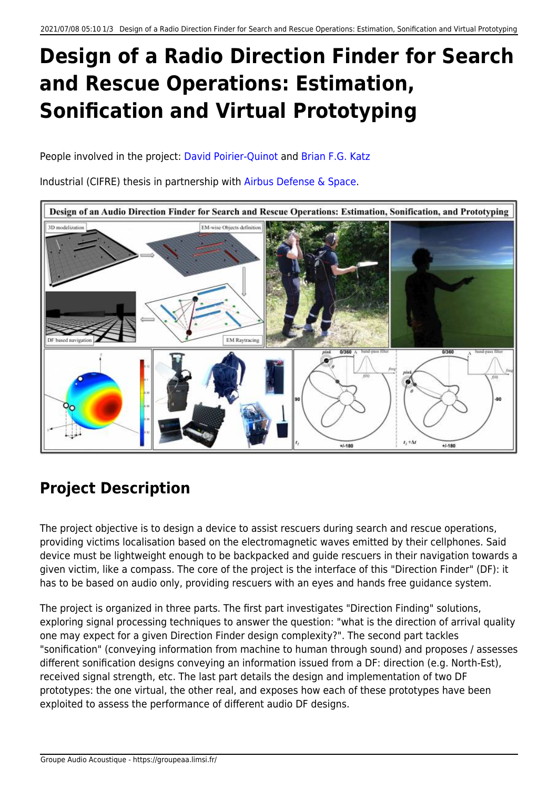# **Design of a Radio Direction Finder for Search and Rescue Operations: Estimation, Sonification and Virtual Prototyping**

People involved in the project: [David Poirier-Quinot](http://www.limsi.fr/Annuaire/infos?id=davipoir) and [Brian F.G. Katz](http://perso.limsi.fr/katz/)

Industrial (CIFRE) thesis in partnership with [Airbus Defense & Space](http://www.space-airbusds.com/fr/).



# **Project Description**

The project objective is to design a device to assist rescuers during search and rescue operations, providing victims localisation based on the electromagnetic waves emitted by their cellphones. Said device must be lightweight enough to be backpacked and guide rescuers in their navigation towards a given victim, like a compass. The core of the project is the interface of this "Direction Finder" (DF): it has to be based on audio only, providing rescuers with an eyes and hands free guidance system.

The project is organized in three parts. The first part investigates "Direction Finding" solutions, exploring signal processing techniques to answer the question: "what is the direction of arrival quality one may expect for a given Direction Finder design complexity?". The second part tackles "sonification" (conveying information from machine to human through sound) and proposes / assesses different sonification designs conveying an information issued from a DF: direction (e.g. North-Est), received signal strength, etc. The last part details the design and implementation of two DF prototypes: the one virtual, the other real, and exposes how each of these prototypes have been exploited to assess the performance of different audio DF designs.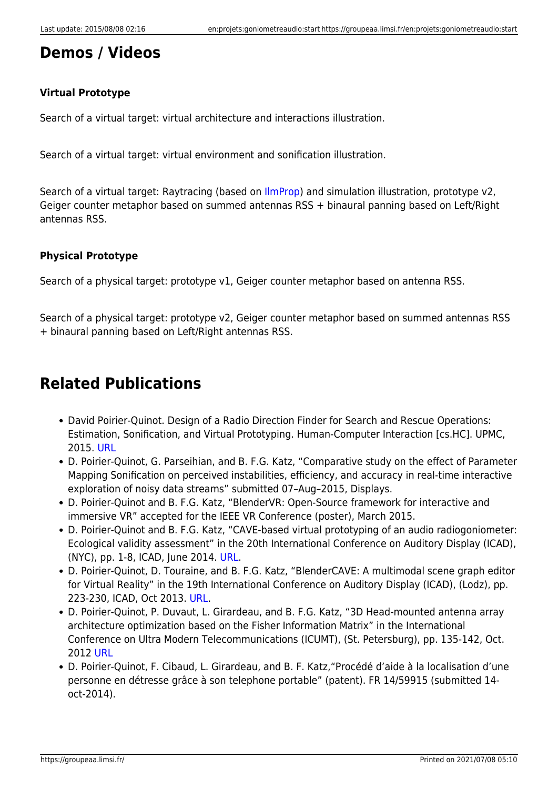## **Demos / Videos**

#### **Virtual Prototype**

Search of a virtual target: virtual architecture and interactions illustration.

Search of a virtual target: virtual environment and sonification illustration.

Search of a virtual target: Raytracing (based on [IlmProp](http://www2.tu-ilmenau.de/nt/en/ilmprop//)) and simulation illustration, prototype v2, Geiger counter metaphor based on summed antennas RSS + binaural panning based on Left/Right antennas RSS.

#### **Physical Prototype**

Search of a physical target: prototype v1, Geiger counter metaphor based on antenna RSS.

Search of a physical target: prototype v2, Geiger counter metaphor based on summed antennas RSS + binaural panning based on Left/Right antennas RSS.

## **Related Publications**

- David Poirier-Quinot. Design of a Radio Direction Finder for Search and Rescue Operations: Estimation, Sonification, and Virtual Prototyping. Human-Computer Interaction [cs.HC]. UPMC, 2015. [URL](https://hal.archives-ouvertes.fr/tel-01182898v1)
- D. Poirier-Quinot, G. Parseihian, and B. F.G. Katz, "Comparative study on the effect of Parameter Mapping Sonification on perceived instabilities, efficiency, and accuracy in real-time interactive exploration of noisy data streams" submitted 07–Aug–2015, Displays.
- D. Poirier-Quinot and B. F.G. Katz, "BlenderVR: Open-Source framework for interactive and immersive VR" accepted for the IEEE VR Conference (poster), March 2015.
- D. Poirier-Quinot and B. F.G. Katz, "CAVE-based virtual prototyping of an audio radiogoniometer: Ecological validity assessment" in the 20th International Conference on Auditory Display (ICAD), (NYC), pp. 1-8, ICAD, June 2014. [URL](http://hdl.handle.net/1853/52064).
- D. Poirier-Quinot, D. Touraine, and B. F.G. Katz, "BlenderCAVE: A multimodal scene graph editor for Virtual Reality" in the 19th International Conference on Auditory Display (ICAD), (Lodz), pp. 223-230, ICAD, Oct 2013. [URL.](http://hdl. handle.net/1853/51672)
- D. Poirier-Quinot, P. Duvaut, L. Girardeau, and B. F.G. Katz, "3D Head-mounted antenna array architecture optimization based on the Fisher Information Matrix" in the International Conference on Ultra Modern Telecommunications (ICUMT), (St. Petersburg), pp. 135-142, Oct. 2012 [URL](http://dx.doi.org/10.1109/ICUMT.2012.6459653)
- D. Poirier-Quinot, F. Cibaud, L. Girardeau, and B. F. Katz,"Procédé d'aide à la localisation d'une personne en détresse grâce à son telephone portable" (patent). FR 14/59915 (submitted 14 oct-2014).